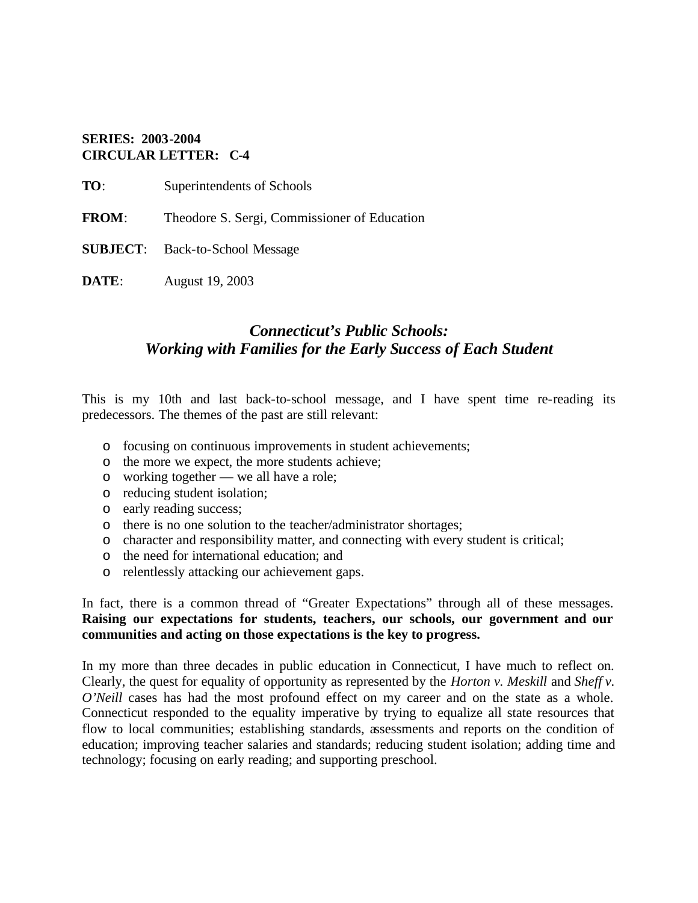### **SERIES: 2003-2004 CIRCULAR LETTER: C-4**

**TO**: Superintendents of Schools

**FROM**: Theodore S. Sergi, Commissioner of Education

**SUBJECT**: Back-to-School Message

**DATE**: August 19, 2003

## *Connecticut's Public Schools: Working with Families for the Early Success of Each Student*

This is my 10th and last back-to-school message, and I have spent time re-reading its predecessors. The themes of the past are still relevant:

- o focusing on continuous improvements in student achievements;
- o the more we expect, the more students achieve;
- o working together we all have a role;
- o reducing student isolation;
- o early reading success;
- o there is no one solution to the teacher/administrator shortages;
- o character and responsibility matter, and connecting with every student is critical;
- o the need for international education; and
- o relentlessly attacking our achievement gaps.

In fact, there is a common thread of "Greater Expectations" through all of these messages. **Raising our expectations for students, teachers, our schools, our government and our communities and acting on those expectations is the key to progress.** 

In my more than three decades in public education in Connecticut, I have much to reflect on. Clearly, the quest for equality of opportunity as represented by the *Horton v. Meskill* and *Sheff v. O'Neill* cases has had the most profound effect on my career and on the state as a whole. Connecticut responded to the equality imperative by trying to equalize all state resources that flow to local communities; establishing standards, assessments and reports on the condition of education; improving teacher salaries and standards; reducing student isolation; adding time and technology; focusing on early reading; and supporting preschool.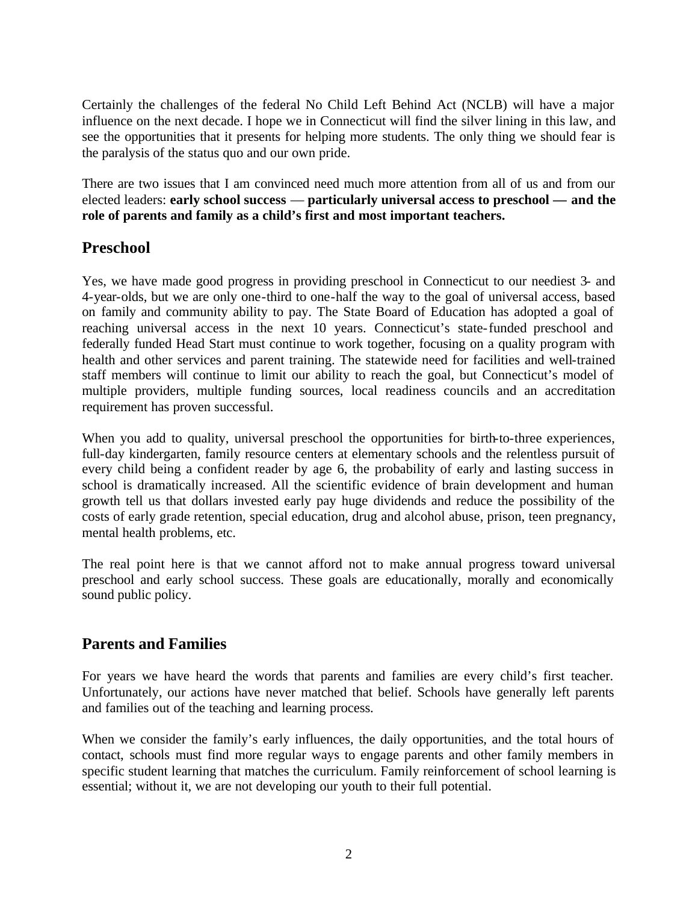Certainly the challenges of the federal No Child Left Behind Act (NCLB) will have a major influence on the next decade. I hope we in Connecticut will find the silver lining in this law, and see the opportunities that it presents for helping more students. The only thing we should fear is the paralysis of the status quo and our own pride.

There are two issues that I am convinced need much more attention from all of us and from our elected leaders: **early school success** — **particularly universal access to preschool — and the role of parents and family as a child's first and most important teachers.** 

## **Preschool**

Yes, we have made good progress in providing preschool in Connecticut to our neediest 3- and 4-year-olds, but we are only one-third to one-half the way to the goal of universal access, based on family and community ability to pay. The State Board of Education has adopted a goal of reaching universal access in the next 10 years. Connecticut's state-funded preschool and federally funded Head Start must continue to work together, focusing on a quality program with health and other services and parent training. The statewide need for facilities and well-trained staff members will continue to limit our ability to reach the goal, but Connecticut's model of multiple providers, multiple funding sources, local readiness councils and an accreditation requirement has proven successful.

When you add to quality, universal preschool the opportunities for birth-to-three experiences, full-day kindergarten, family resource centers at elementary schools and the relentless pursuit of every child being a confident reader by age 6, the probability of early and lasting success in school is dramatically increased. All the scientific evidence of brain development and human growth tell us that dollars invested early pay huge dividends and reduce the possibility of the costs of early grade retention, special education, drug and alcohol abuse, prison, teen pregnancy, mental health problems, etc.

The real point here is that we cannot afford not to make annual progress toward universal preschool and early school success. These goals are educationally, morally and economically sound public policy.

## **Parents and Families**

For years we have heard the words that parents and families are every child's first teacher. Unfortunately, our actions have never matched that belief. Schools have generally left parents and families out of the teaching and learning process.

When we consider the family's early influences, the daily opportunities, and the total hours of contact, schools must find more regular ways to engage parents and other family members in specific student learning that matches the curriculum. Family reinforcement of school learning is essential; without it, we are not developing our youth to their full potential.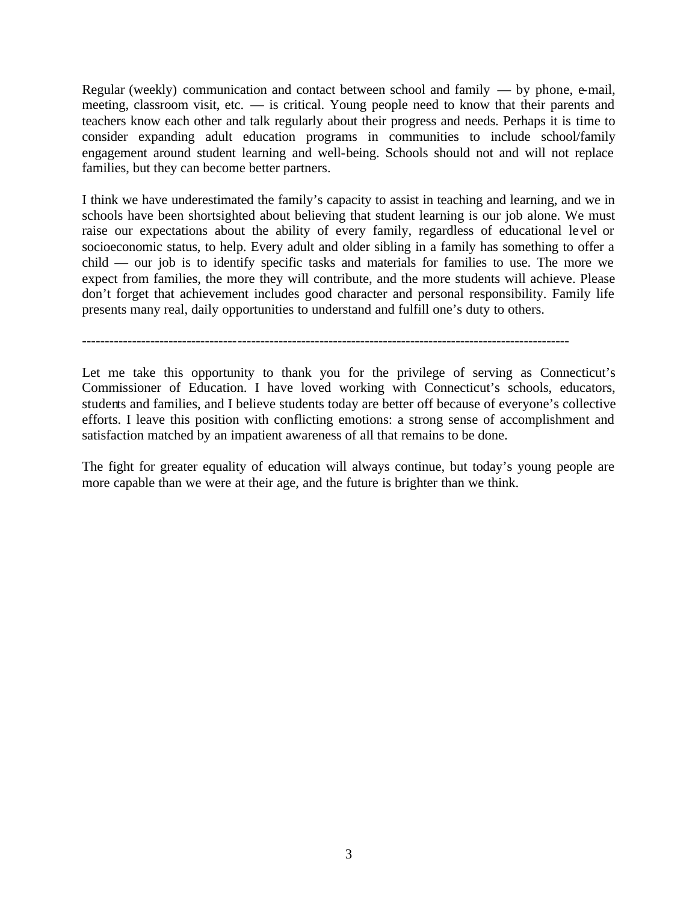Regular (weekly) communication and contact between school and family — by phone, e-mail, meeting, classroom visit, etc. — is critical. Young people need to know that their parents and teachers know each other and talk regularly about their progress and needs. Perhaps it is time to consider expanding adult education programs in communities to include school/family engagement around student learning and well-being. Schools should not and will not replace families, but they can become better partners.

I think we have underestimated the family's capacity to assist in teaching and learning, and we in schools have been shortsighted about believing that student learning is our job alone. We must raise our expectations about the ability of every family, regardless of educational le vel or socioeconomic status, to help. Every adult and older sibling in a family has something to offer a child — our job is to identify specific tasks and materials for families to use. The more we expect from families, the more they will contribute, and the more students will achieve. Please don't forget that achievement includes good character and personal responsibility. Family life presents many real, daily opportunities to understand and fulfill one's duty to others.

-----------------------------------------------------------------------------------------------------------

Let me take this opportunity to thank you for the privilege of serving as Connecticut's Commissioner of Education. I have loved working with Connecticut's schools, educators, students and families, and I believe students today are better off because of everyone's collective efforts. I leave this position with conflicting emotions: a strong sense of accomplishment and satisfaction matched by an impatient awareness of all that remains to be done.

The fight for greater equality of education will always continue, but today's young people are more capable than we were at their age, and the future is brighter than we think.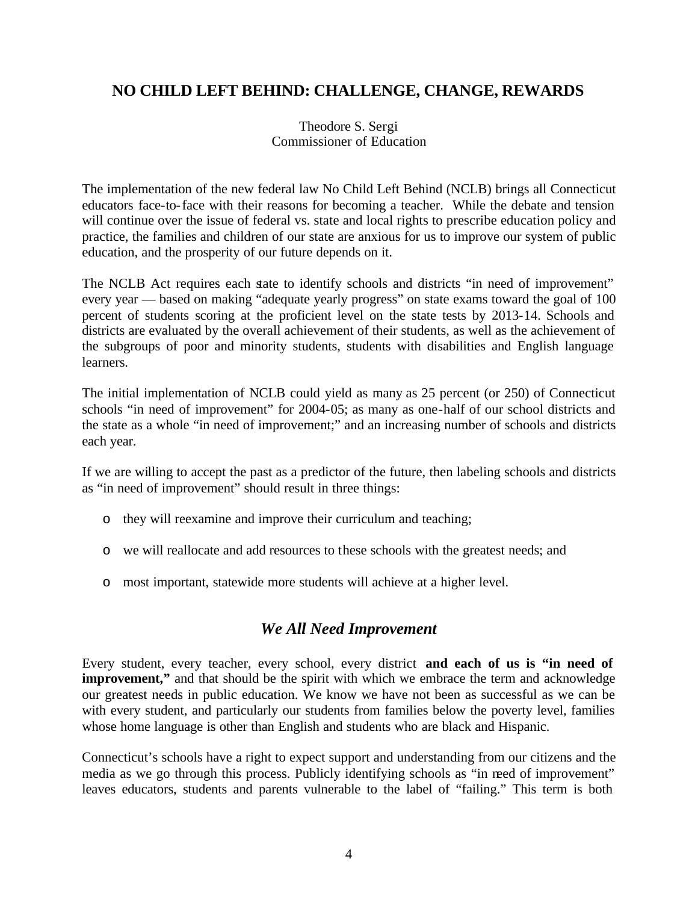# **NO CHILD LEFT BEHIND: CHALLENGE, CHANGE, REWARDS**

Theodore S. Sergi Commissioner of Education

The implementation of the new federal law No Child Left Behind (NCLB) brings all Connecticut educators face-to-face with their reasons for becoming a teacher. While the debate and tension will continue over the issue of federal vs. state and local rights to prescribe education policy and practice, the families and children of our state are anxious for us to improve our system of public education, and the prosperity of our future depends on it.

The NCLB Act requires each state to identify schools and districts "in need of improvement" every year — based on making "adequate yearly progress" on state exams toward the goal of 100 percent of students scoring at the proficient level on the state tests by 2013-14. Schools and districts are evaluated by the overall achievement of their students, as well as the achievement of the subgroups of poor and minority students, students with disabilities and English language learners.

The initial implementation of NCLB could yield as many as 25 percent (or 250) of Connecticut schools "in need of improvement" for 2004-05; as many as one-half of our school districts and the state as a whole "in need of improvement;" and an increasing number of schools and districts each year.

If we are willing to accept the past as a predictor of the future, then labeling schools and districts as "in need of improvement" should result in three things:

- o they will reexamine and improve their curriculum and teaching;
- o we will reallocate and add resources to these schools with the greatest needs; and
- o most important, statewide more students will achieve at a higher level.

## *We All Need Improvement*

Every student, every teacher, every school, every district **and each of us is "in need of improvement,"** and that should be the spirit with which we embrace the term and acknowledge our greatest needs in public education. We know we have not been as successful as we can be with every student, and particularly our students from families below the poverty level, families whose home language is other than English and students who are black and Hispanic.

Connecticut's schools have a right to expect support and understanding from our citizens and the media as we go through this process. Publicly identifying schools as "in need of improvement" leaves educators, students and parents vulnerable to the label of "failing." This term is both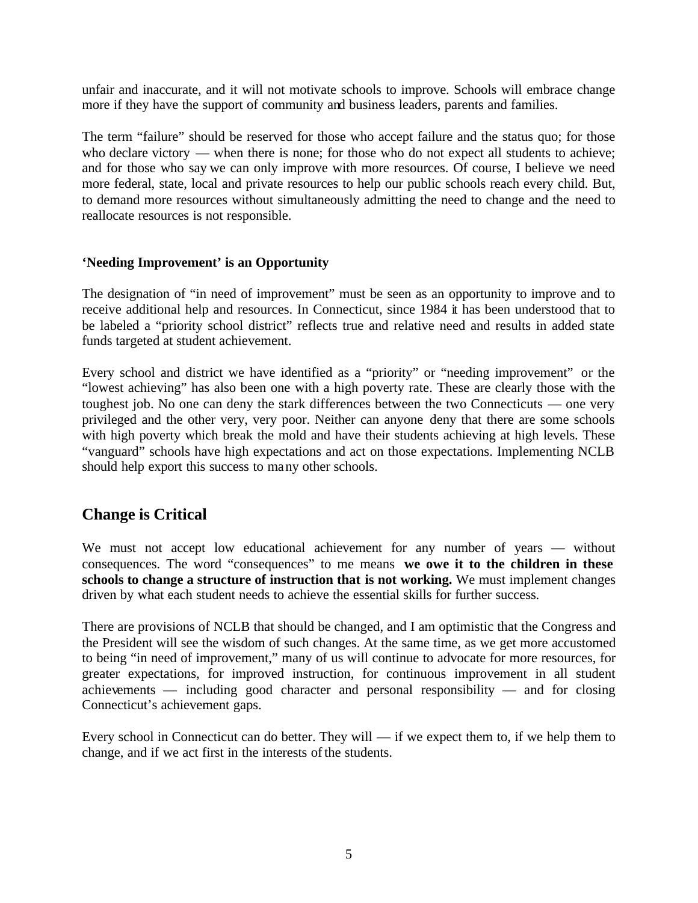unfair and inaccurate, and it will not motivate schools to improve. Schools will embrace change more if they have the support of community and business leaders, parents and families.

The term "failure" should be reserved for those who accept failure and the status quo; for those who declare victory — when there is none; for those who do not expect all students to achieve; and for those who say we can only improve with more resources. Of course, I believe we need more federal, state, local and private resources to help our public schools reach every child. But, to demand more resources without simultaneously admitting the need to change and the need to reallocate resources is not responsible.

### **'Needing Improvement' is an Opportunity**

The designation of "in need of improvement" must be seen as an opportunity to improve and to receive additional help and resources. In Connecticut, since 1984 it has been understood that to be labeled a "priority school district" reflects true and relative need and results in added state funds targeted at student achievement.

Every school and district we have identified as a "priority" or "needing improvement" or the "lowest achieving" has also been one with a high poverty rate. These are clearly those with the toughest job. No one can deny the stark differences between the two Connecticuts — one very privileged and the other very, very poor. Neither can anyone deny that there are some schools with high poverty which break the mold and have their students achieving at high levels. These "vanguard" schools have high expectations and act on those expectations. Implementing NCLB should help export this success to many other schools.

## **Change is Critical**

We must not accept low educational achievement for any number of years — without consequences. The word "consequences" to me means **we owe it to the children in these schools to change a structure of instruction that is not working.** We must implement changes driven by what each student needs to achieve the essential skills for further success.

There are provisions of NCLB that should be changed, and I am optimistic that the Congress and the President will see the wisdom of such changes. At the same time, as we get more accustomed to being "in need of improvement," many of us will continue to advocate for more resources, for greater expectations, for improved instruction, for continuous improvement in all student achievements — including good character and personal responsibility — and for closing Connecticut's achievement gaps.

Every school in Connecticut can do better. They will — if we expect them to, if we help them to change, and if we act first in the interests of the students.